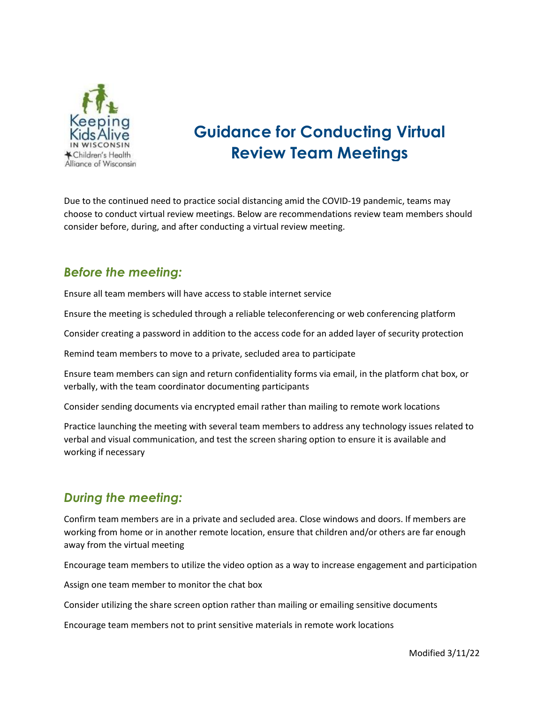

# **Guidance for Conducting Virtual Review Team Meetings**

Due to the continued need to practice social distancing amid the COVID-19 pandemic, teams may choose to conduct virtual review meetings. Below are recommendations review team members should consider before, during, and after conducting a virtual review meeting.

#### *Before the meeting:*

Ensure all team members will have access to stable internet service

Ensure the meeting is scheduled through a reliable teleconferencing or web conferencing platform

Consider creating a password in addition to the access code for an added layer of security protection

Remind team members to move to a private, secluded area to participate

Ensure team members can sign and return confidentiality forms via email, in the platform chat box, or verbally, with the team coordinator documenting participants

Consider sending documents via encrypted email rather than mailing to remote work locations

Practice launching the meeting with several team members to address any technology issues related to verbal and visual communication, and test the screen sharing option to ensure it is available and working if necessary

### *During the meeting:*

Confirm team members are in a private and secluded area. Close windows and doors. If members are working from home or in another remote location, ensure that children and/or others are far enough away from the virtual meeting

Encourage team members to utilize the video option as a way to increase engagement and participation

Assign one team member to monitor the chat box

Consider utilizing the share screen option rather than mailing or emailing sensitive documents

Encourage team members not to print sensitive materials in remote work locations